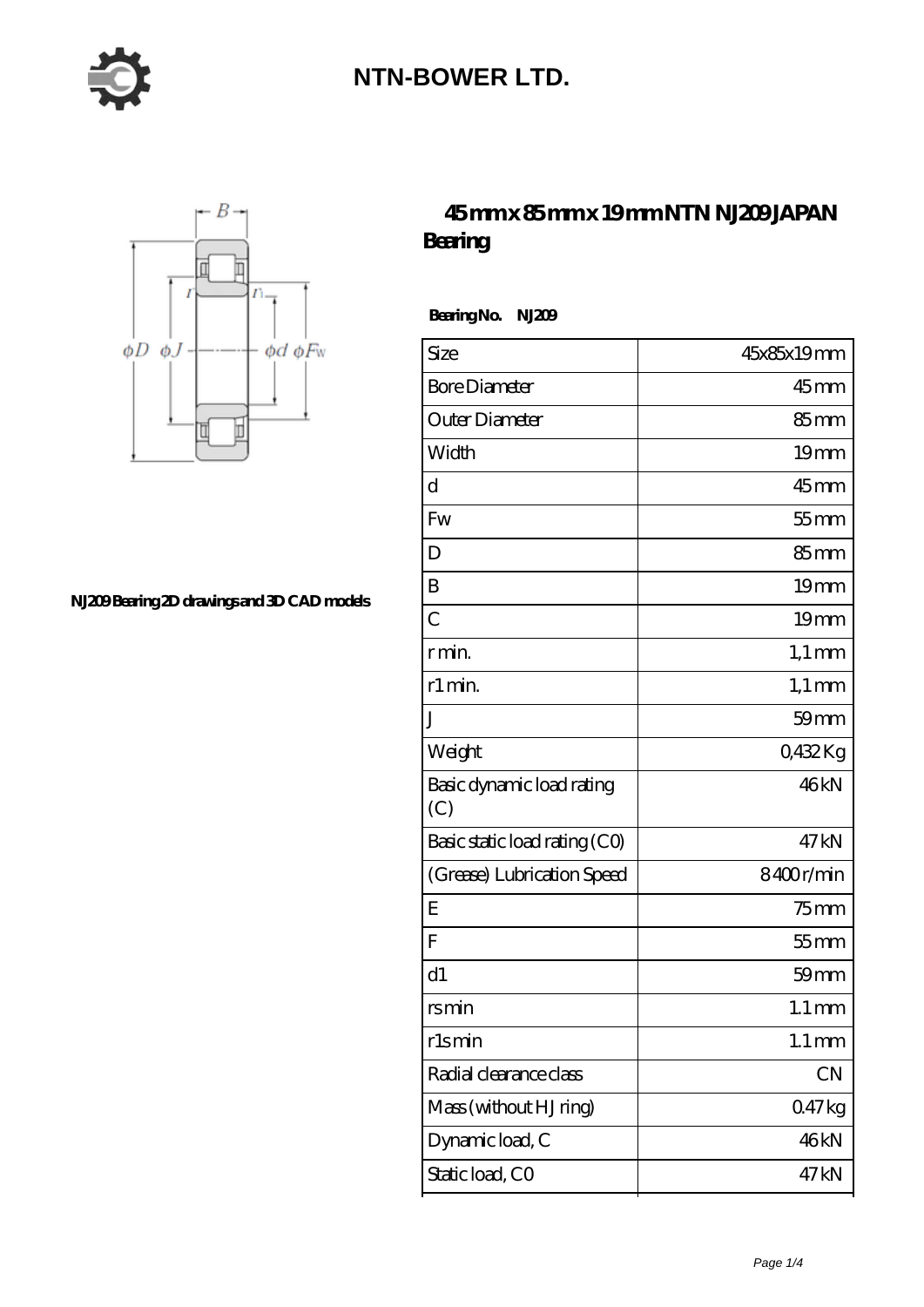



**[NJ209 Bearing 2D drawings and 3D CAD models](https://moreymansion.com/pic-306386.html)**

#### **[45 mm x 85 mm x 19 mm NTN NJ209 JAPAN](https://moreymansion.com/bb-306386-ntn-nj209-japan-bearing.html) [Bearing](https://moreymansion.com/bb-306386-ntn-nj209-japan-bearing.html)**

 **Bearing No. NJ209**

| Size                             | 45x85x19mm          |
|----------------------------------|---------------------|
| <b>Bore Diameter</b>             | $45$ <sub>mm</sub>  |
| Outer Diameter                   | 85 <sub>mm</sub>    |
| Width                            | 19 <sub>mm</sub>    |
| d                                | $45$ mm             |
| Fw                               | $55$ mm             |
| D                                | $85 \text{mm}$      |
| B                                | 19 <sub>mm</sub>    |
| $\overline{C}$                   | 19 <sub>mm</sub>    |
| r min.                           | $1,1 \text{ mm}$    |
| r1 min.                          | $1,1 \text{ mm}$    |
| J                                | $59$ mm             |
| Weight                           | 0,432Kg             |
| Basic dynamic load rating<br>(C) | 46kN                |
| Basic static load rating (CO)    | 47 <sub>kN</sub>    |
| (Grease) Lubrication Speed       | 8400r/min           |
| E                                | $75$ mm             |
| F                                | $55$ mm             |
| d1                               | $59$ mm             |
| rsmin                            | $1.1 \, \text{mm}$  |
| rlsmin                           | $1.1 \,\mathrm{mm}$ |
| Radial clearance class           | CN                  |
| Mass (without HJ ring)           | 047kg               |
| Dynamic load, C                  | 46kN                |
| Static load, CO                  | 47 kN               |
|                                  |                     |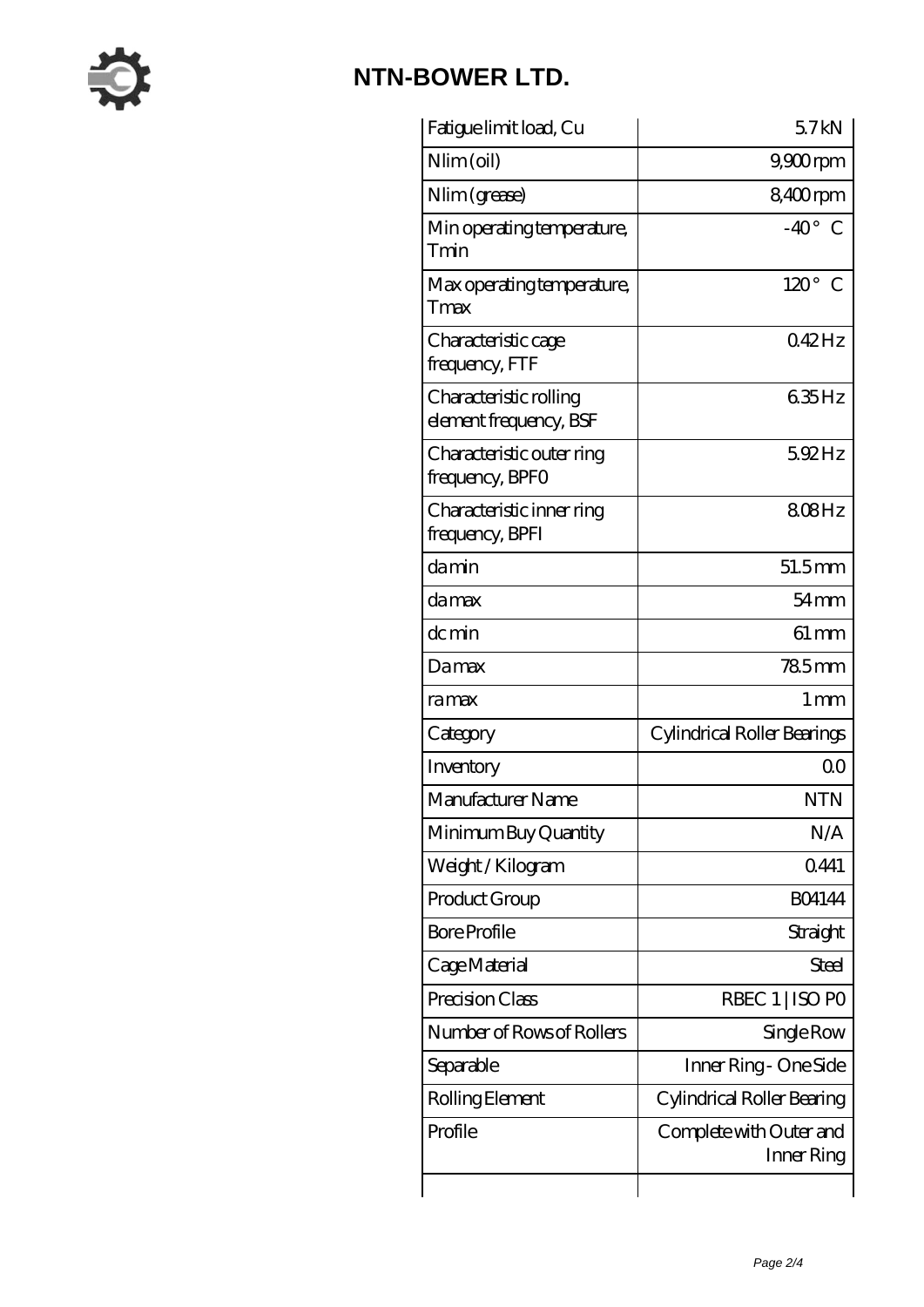

| Fatigue limit load, Cu                           | 57kN                                  |
|--------------------------------------------------|---------------------------------------|
| Nlim (oil)                                       | $9,900$ rpm                           |
| Nlim (grease)                                    | 8,400rpm                              |
| Min operating temperature,<br>Tmin               | $-40^{\circ}$<br>C                    |
| Max operating temperature,<br>Tmax               | $120^\circ$ C                         |
| Characteristic cage<br>frequency, FTF            | 042Hz                                 |
| Characteristic rolling<br>element frequency, BSF | 635Hz                                 |
| Characteristic outer ring<br>frequency, BPFO     | 5.92Hz                                |
| Characteristic inner ring<br>frequency, BPFI     | 808Hz                                 |
| damin                                            | $51.5$ <sub>mm</sub>                  |
| damax                                            | $54 \,\mathrm{mm}$                    |
| dc min                                           | $61 \,\mathrm{mm}$                    |
| Damax                                            | 785mm                                 |
| ramax                                            | 1 mm                                  |
| Category                                         | Cylindrical Roller Bearings           |
| Inventory                                        | 0 <sup>0</sup>                        |
| Manufacturer Name                                | <b>NTN</b>                            |
| Minimum Buy Quantity                             | N/A                                   |
| Weight/Kilogram                                  | 0441                                  |
| Product Group                                    | <b>BO4144</b>                         |
| <b>Bore Profile</b>                              | Straight                              |
| Cage Material                                    | Steel                                 |
| Precision Class                                  | RBEC 1   ISO PO                       |
| Number of Rows of Rollers                        | Single Row                            |
| Separable                                        | Inner Ring - One Side                 |
| Rolling Element                                  | Cylindrical Roller Bearing            |
| Profile                                          | Complete with Outer and<br>Inner Ring |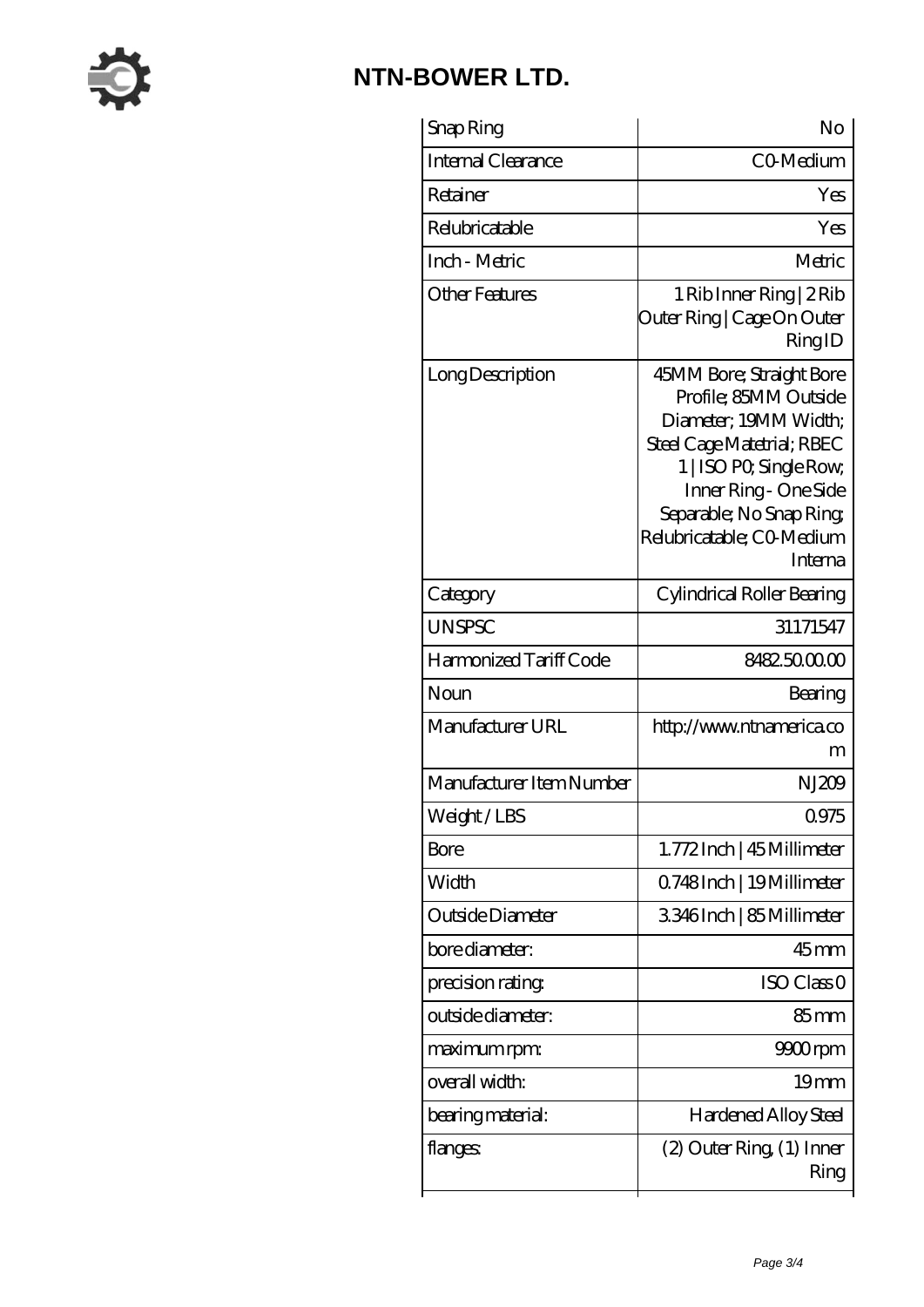

| Snap Ring                 | No                                                                                                                                                                                                                               |
|---------------------------|----------------------------------------------------------------------------------------------------------------------------------------------------------------------------------------------------------------------------------|
| <b>Internal Clearance</b> | CO-Medium                                                                                                                                                                                                                        |
| Retainer                  | Yes                                                                                                                                                                                                                              |
| Relubricatable            | Yes                                                                                                                                                                                                                              |
| Inch - Metric             | Metric                                                                                                                                                                                                                           |
| Other Features            | 1 Rib Inner Ring   2 Rib<br>Outer Ring   Cage On Outer<br>RingID                                                                                                                                                                 |
| Long Description          | 45MM Bore; Straight Bore<br>Profile; 85MM Outside<br>Diameter, 19MM Width;<br>Steel Cage Matetrial; RBEC<br>1   ISO PO, Single Row,<br>Inner Ring - One Side<br>Separable; No Snap Ring;<br>Relubricatable; CO Medium<br>Interna |
| Category                  | Cylindrical Roller Bearing                                                                                                                                                                                                       |
| <b>UNSPSC</b>             | 31171547                                                                                                                                                                                                                         |
| Harmonized Tariff Code    | 8482500000                                                                                                                                                                                                                       |
| Noun                      | Bearing                                                                                                                                                                                                                          |
| Manufacturer URL          | http://www.ntnamerica.co<br>m                                                                                                                                                                                                    |
| Manufacturer Item Number  | NJ209                                                                                                                                                                                                                            |
| Weight/LBS                | 0975                                                                                                                                                                                                                             |
| Bore                      | 1.772Inch   45 Millimeter                                                                                                                                                                                                        |
| Width                     | Q748Inch   19Millimeter                                                                                                                                                                                                          |
| Outside Diameter          | 3346Inch   85Millimeter                                                                                                                                                                                                          |
| bore diameter:            | $45$ <sub>mm</sub>                                                                                                                                                                                                               |
| precision rating          | ISO Class <sub>0</sub>                                                                                                                                                                                                           |
| outside diameter:         | $85 \text{mm}$                                                                                                                                                                                                                   |
| maximum rpm:              | 9900rpm                                                                                                                                                                                                                          |
| overall width:            | 19 <sub>mm</sub>                                                                                                                                                                                                                 |
| bearing material:         | Hardened Alloy Steel                                                                                                                                                                                                             |
| flanges:                  | $(2)$ Outer Ring $(1)$ Inner<br>Ring                                                                                                                                                                                             |